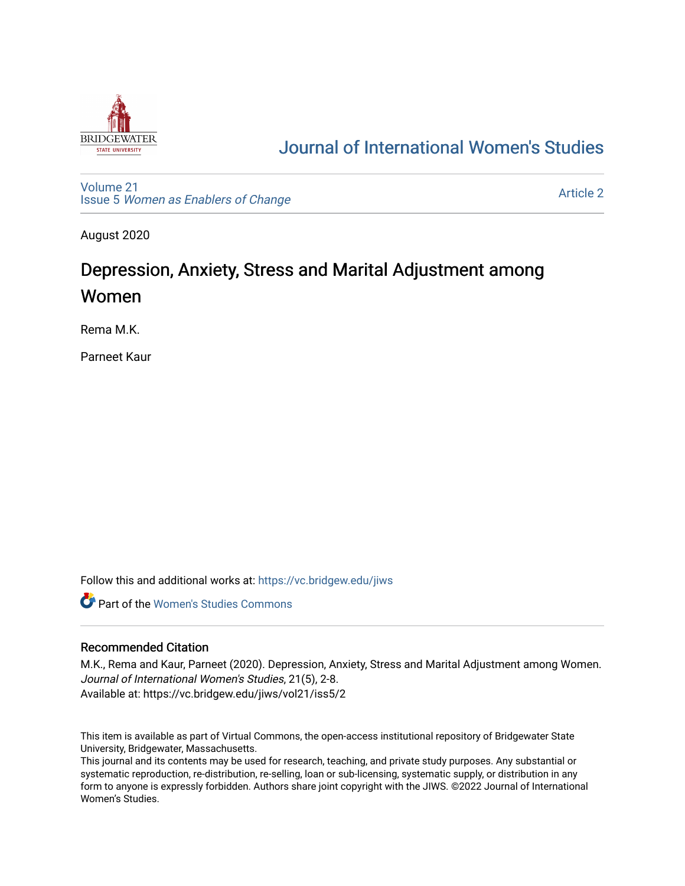

# [Journal of International Women's Studies](https://vc.bridgew.edu/jiws)

[Volume 21](https://vc.bridgew.edu/jiws/vol21) Issue 5 [Women as Enablers of Change](https://vc.bridgew.edu/jiws/vol21/iss5) 

[Article 2](https://vc.bridgew.edu/jiws/vol21/iss5/2) 

August 2020

# Depression, Anxiety, Stress and Marital Adjustment among Women

Rema M.K.

Parneet Kaur

Follow this and additional works at: [https://vc.bridgew.edu/jiws](https://vc.bridgew.edu/jiws?utm_source=vc.bridgew.edu%2Fjiws%2Fvol21%2Fiss5%2F2&utm_medium=PDF&utm_campaign=PDFCoverPages)

**C** Part of the Women's Studies Commons

#### Recommended Citation

M.K., Rema and Kaur, Parneet (2020). Depression, Anxiety, Stress and Marital Adjustment among Women. Journal of International Women's Studies, 21(5), 2-8. Available at: https://vc.bridgew.edu/jiws/vol21/iss5/2

This item is available as part of Virtual Commons, the open-access institutional repository of Bridgewater State University, Bridgewater, Massachusetts.

This journal and its contents may be used for research, teaching, and private study purposes. Any substantial or systematic reproduction, re-distribution, re-selling, loan or sub-licensing, systematic supply, or distribution in any form to anyone is expressly forbidden. Authors share joint copyright with the JIWS. ©2022 Journal of International Women's Studies.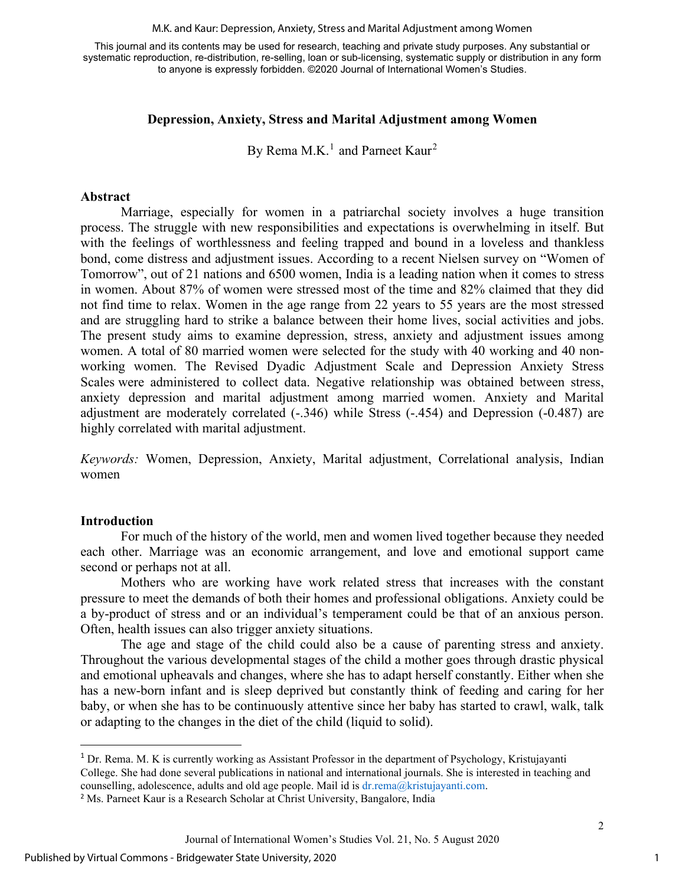M.K. and Kaur: Depression, Anxiety, Stress and Marital Adjustment among Women

This journal and its contents may be used for research, teaching and private study purposes. Any substantial or systematic reproduction, re-distribution, re-selling, loan or sub-licensing, systematic supply or distribution in any form to anyone is expressly forbidden. ©2020 Journal of International Women's Studies.

#### **Depression, Anxiety, Stress and Marital Adjustment among Women**

By Rema M.K.<sup>1</sup> and Parneet Kaur<sup>[2](#page-1-1)</sup>

#### **Abstract**

Marriage, especially for women in a patriarchal society involves a huge transition process. The struggle with new responsibilities and expectations is overwhelming in itself. But with the feelings of worthlessness and feeling trapped and bound in a loveless and thankless bond, come distress and adjustment issues. According to a recent Nielsen survey on "Women of Tomorrow", out of 21 nations and 6500 women, India is a leading nation when it comes to stress in women. About 87% of women were stressed most of the time and 82% claimed that they did not find time to relax. Women in the age range from 22 years to 55 years are the most stressed and are struggling hard to strike a balance between their home lives, social activities and jobs. The present study aims to examine depression, stress, anxiety and adjustment issues among women. A total of 80 married women were selected for the study with 40 working and 40 nonworking women. The Revised Dyadic Adjustment Scale and Depression Anxiety Stress Scales were administered to collect data. Negative relationship was obtained between stress, anxiety depression and marital adjustment among married women. Anxiety and Marital adjustment are moderately correlated  $(-.346)$  while Stress  $(-.454)$  and Depression  $(-0.487)$  are highly correlated with marital adjustment.

*Keywords:* Women, Depression, Anxiety, Marital adjustment, Correlational analysis, Indian women

#### **Introduction**

For much of the history of the world, men and women lived together because they needed each other. Marriage was an economic arrangement, and love and emotional support came second or perhaps not at all.

Mothers who are working have work related stress that increases with the constant pressure to meet the demands of both their homes and professional obligations. Anxiety could be a by-product of stress and or an individual's temperament could be that of an anxious person. Often, health issues can also trigger anxiety situations.

The age and stage of the child could also be a cause of parenting stress and anxiety. Throughout the various developmental stages of the child a mother goes through drastic physical and emotional upheavals and changes, where she has to adapt herself constantly. Either when she has a new-born infant and is sleep deprived but constantly think of feeding and caring for her baby, or when she has to be continuously attentive since her baby has started to crawl, walk, talk or adapting to the changes in the diet of the child (liquid to solid).

<span id="page-1-0"></span><sup>1</sup> Dr. Rema. M. K is currently working as Assistant Professor in the department of Psychology, Kristujayanti College. She had done several publications in national and international journals. She is interested in teaching and counselling, adolescence, adults and old age people. Mail id is  $dr$ , rema $@$ kristujayanti.com.

<span id="page-1-1"></span><sup>&</sup>lt;sup>2</sup> Ms. Parneet Kaur is a Research Scholar at Christ University, Bangalore, India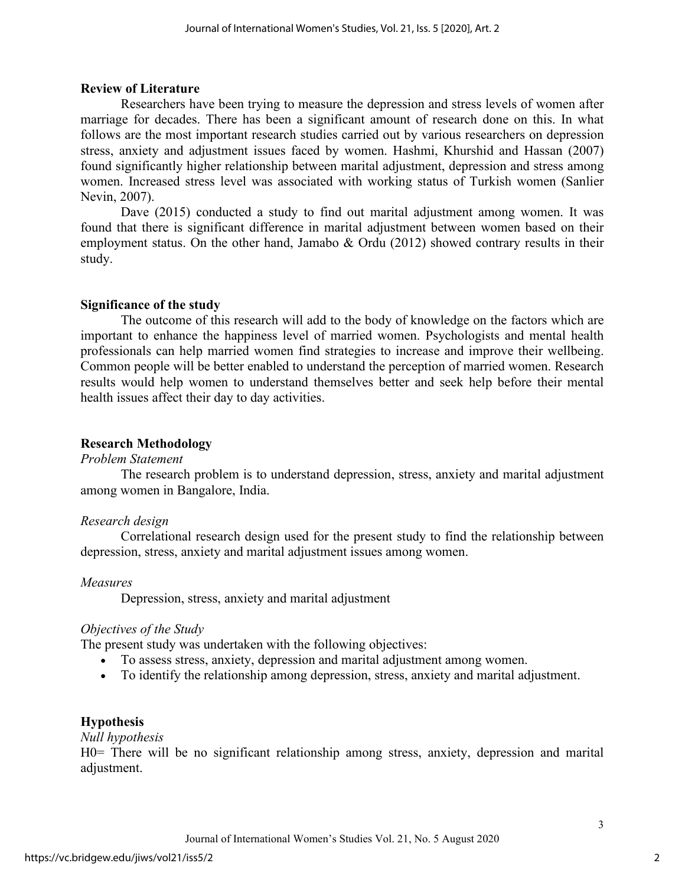## **Review of Literature**

Researchers have been trying to measure the depression and stress levels of women after marriage for decades. There has been a significant amount of research done on this. In what follows are the most important research studies carried out by various researchers on depression stress, anxiety and adjustment issues faced by women. Hashmi, Khurshid and Hassan (2007) found significantly higher relationship between marital adjustment, depression and stress among women. Increased stress level was associated with working status of Turkish women (Sanlier Nevin, 2007).

Dave (2015) conducted a study to find out marital adjustment among women. It was found that there is significant difference in marital adjustment between women based on their employment status. On the other hand, Jamabo & Ordu (2012) showed contrary results in their study.

## **Significance of the study**

The outcome of this research will add to the body of knowledge on the factors which are important to enhance the happiness level of married women. Psychologists and mental health professionals can help married women find strategies to increase and improve their wellbeing. Common people will be better enabled to understand the perception of married women. Research results would help women to understand themselves better and seek help before their mental health issues affect their day to day activities.

## **Research Methodology**

*Problem Statement*

The research problem is to understand depression, stress, anxiety and marital adjustment among women in Bangalore, India.

## *Research design*

Correlational research design used for the present study to find the relationship between depression, stress, anxiety and marital adjustment issues among women.

## *Measures*

Depression, stress, anxiety and marital adjustment

# *Objectives of the Study*

The present study was undertaken with the following objectives:

- To assess stress, anxiety, depression and marital adjustment among women.
- To identify the relationship among depression, stress, anxiety and marital adjustment.

# **Hypothesis**

## *Null hypothesis*

H0= There will be no significant relationship among stress, anxiety, depression and marital adjustment.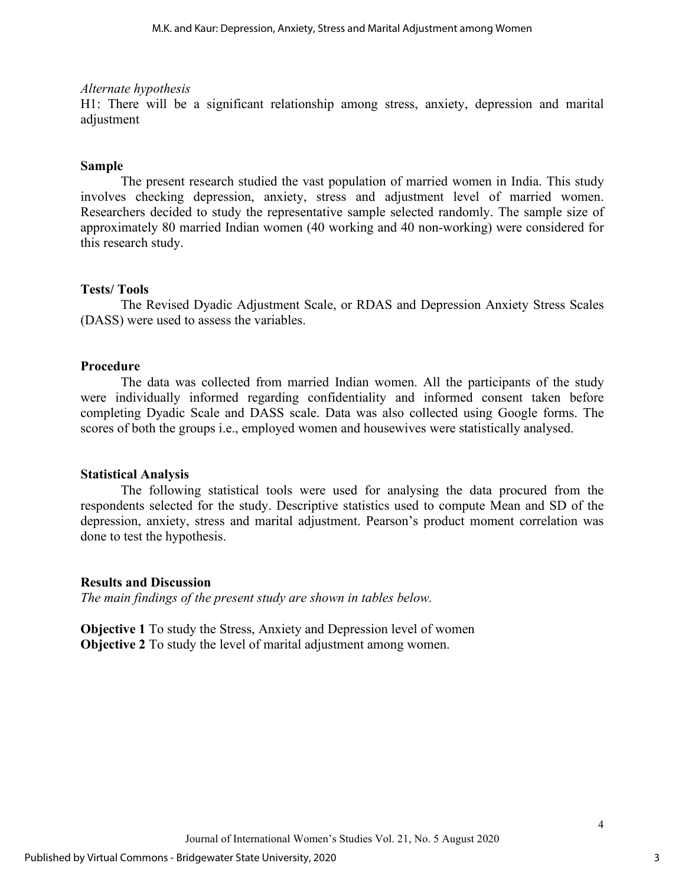#### *Alternate hypothesis*

H1: There will be a significant relationship among stress, anxiety, depression and marital adjustment

## **Sample**

The present research studied the vast population of married women in India. This study involves checking depression, anxiety, stress and adjustment level of married women. Researchers decided to study the representative sample selected randomly. The sample size of approximately 80 married Indian women (40 working and 40 non-working) were considered for this research study.

## **Tests/ Tools**

The Revised Dyadic Adjustment Scale, or RDAS and Depression Anxiety Stress Scales (DASS) were used to assess the variables.

## **Procedure**

The data was collected from married Indian women. All the participants of the study were individually informed regarding confidentiality and informed consent taken before completing Dyadic Scale and DASS scale. Data was also collected using Google forms. The scores of both the groups i.e., employed women and housewives were statistically analysed.

## **Statistical Analysis**

The following statistical tools were used for analysing the data procured from the respondents selected for the study. Descriptive statistics used to compute Mean and SD of the depression, anxiety, stress and marital adjustment. Pearson's product moment correlation was done to test the hypothesis.

## **Results and Discussion**

*The main findings of the present study are shown in tables below.* 

**Objective 1** To study the Stress, Anxiety and Depression level of women **Objective 2** To study the level of marital adjustment among women.

 $\Delta$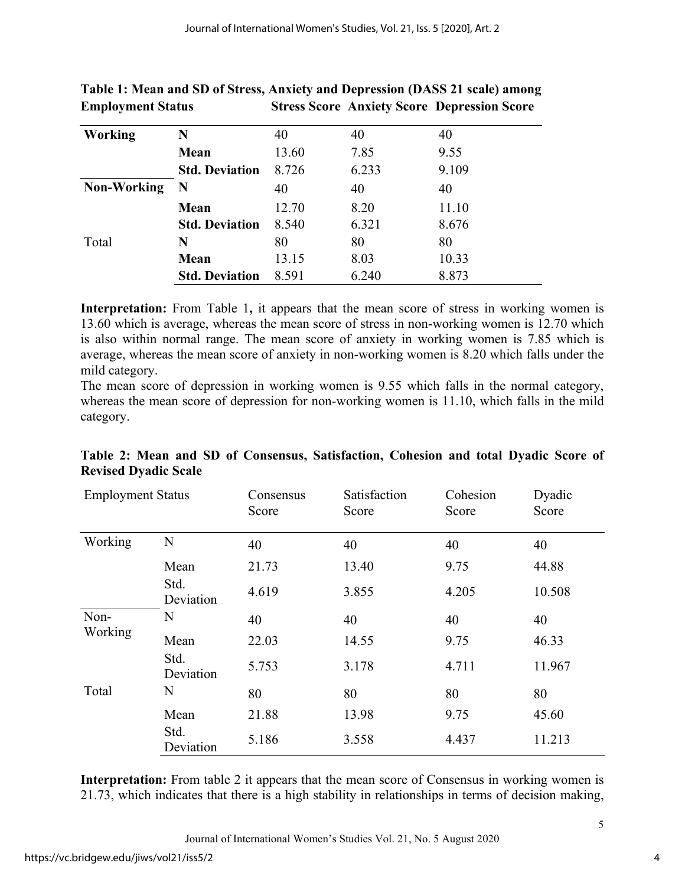| <b>Working</b>     | N                     | 40    | 40    | 40    |
|--------------------|-----------------------|-------|-------|-------|
|                    | Mean                  | 13.60 | 7.85  | 9.55  |
|                    | <b>Std. Deviation</b> | 8.726 | 6.233 | 9.109 |
| <b>Non-Working</b> | $\mathbf N$           | 40    | 40    | 40    |
|                    | Mean                  | 12.70 | 8.20  | 11.10 |
|                    | <b>Std. Deviation</b> | 8.540 | 6.321 | 8.676 |
| Total              | N                     | 80    | 80    | 80    |
|                    | Mean                  | 13.15 | 8.03  | 10.33 |
|                    | <b>Std. Deviation</b> | 8.591 | 6.240 | 8.873 |

# **Table 1: Mean and SD of Stress, Anxiety and Depression (DASS 21 scale) among Employment Status Stress Score Anxiety Score Depression Score**

**Interpretation:** From Table 1, it appears that the mean score of stress in working women is 13.60 which is average, whereas the mean score of stress in non-working women is 12.70 which is also within normal range. The mean score of anxiety in working women is 7.85 which is average, whereas the mean score of anxiety in non-working women is 8.20 which falls under the mild category.

The mean score of depression in working women is 9.55 which falls in the normal category, whereas the mean score of depression for non-working women is 11.10, which falls in the mild category.

| <b>Employment Status</b> |                   | Consensus<br>Score | Satisfaction<br>Score | Cohesion<br>Score | Dyadic<br>Score |
|--------------------------|-------------------|--------------------|-----------------------|-------------------|-----------------|
| Working                  | N                 | 40                 | 40                    | 40                | 40              |
|                          | Mean              | 21.73              | 13.40                 | 9.75              | 44.88           |
|                          | Std.<br>Deviation | 4.619              | 3.855                 | 4.205             | 10.508          |
| Non-<br>Working          | N                 | 40                 | 40                    | 40                | 40              |
|                          | Mean              | 22.03              | 14.55                 | 9.75              | 46.33           |
|                          | Std.<br>Deviation | 5.753              | 3.178                 | 4.711             | 11.967          |
| Total                    | N                 | 80                 | 80                    | 80                | 80              |
|                          | Mean              | 21.88              | 13.98                 | 9.75              | 45.60           |
|                          | Std.<br>Deviation | 5.186              | 3.558                 | 4.437             | 11.213          |

# **Table 2: Mean and SD of Consensus, Satisfaction, Cohesion and total Dyadic Score of Revised Dyadic Scale**

**Interpretation:** From table 2 it appears that the mean score of Consensus in working women is 21.73, which indicates that there is a high stability in relationships in terms of decision making,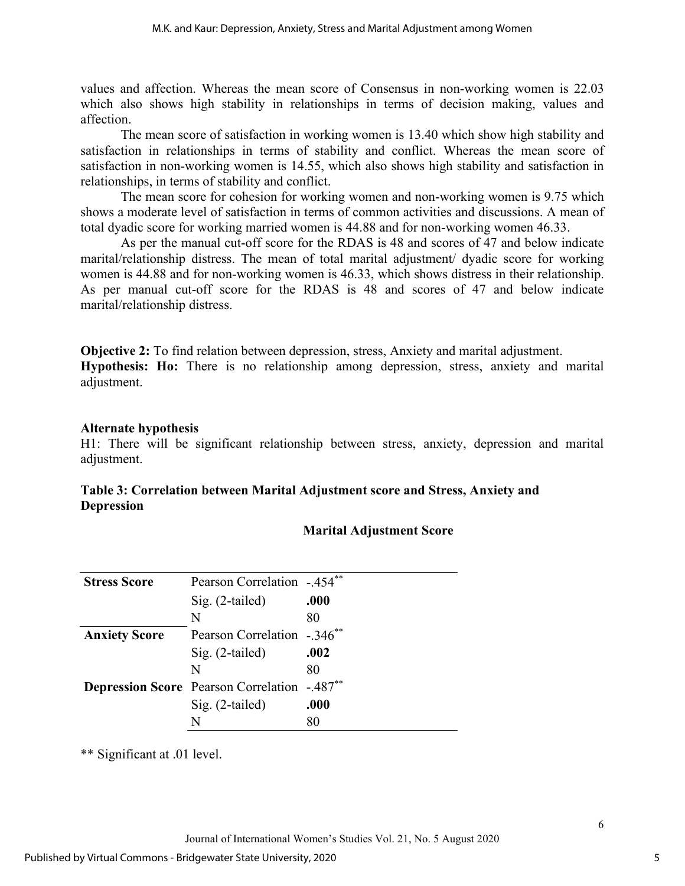values and affection. Whereas the mean score of Consensus in non-working women is 22.03 which also shows high stability in relationships in terms of decision making, values and affection.

The mean score of satisfaction in working women is 13.40 which show high stability and satisfaction in relationships in terms of stability and conflict. Whereas the mean score of satisfaction in non-working women is 14.55, which also shows high stability and satisfaction in relationships, in terms of stability and conflict.

The mean score for cohesion for working women and non-working women is 9.75 which shows a moderate level of satisfaction in terms of common activities and discussions. A mean of total dyadic score for working married women is 44.88 and for non-working women 46.33.

As per the manual cut-off score for the RDAS is 48 and scores of 47 and below indicate marital/relationship distress. The mean of total marital adjustment/ dyadic score for working women is 44.88 and for non-working women is 46.33, which shows distress in their relationship. As per manual cut-off score for the RDAS is 48 and scores of 47 and below indicate marital/relationship distress.

**Objective 2:** To find relation between depression, stress, Anxiety and marital adjustment. **Hypothesis: Ho:** There is no relationship among depression, stress, anxiety and marital adjustment.

## **Alternate hypothesis**

H1: There will be significant relationship between stress, anxiety, depression and marital adjustment.

# **Table 3: Correlation between Marital Adjustment score and Stress, Anxiety and Depression**

| <b>Stress Score</b>  | Pearson Correlation -.454 <sup>**</sup>                         |      |
|----------------------|-----------------------------------------------------------------|------|
|                      | $Sig. (2-tailed)$                                               | .000 |
|                      | N                                                               | 80   |
| <b>Anxiety Score</b> | Pearson Correlation -.346 <sup>**</sup>                         |      |
|                      | $Sig. (2-tailed)$                                               | .002 |
|                      | N                                                               | 80   |
|                      | <b>Depression Score</b> Pearson Correlation -.487 <sup>**</sup> |      |
|                      | $Sig. (2-tailed)$                                               | .000 |
|                      | N                                                               | 80   |

# **Marital Adjustment Score**

\*\* Significant at .01 level.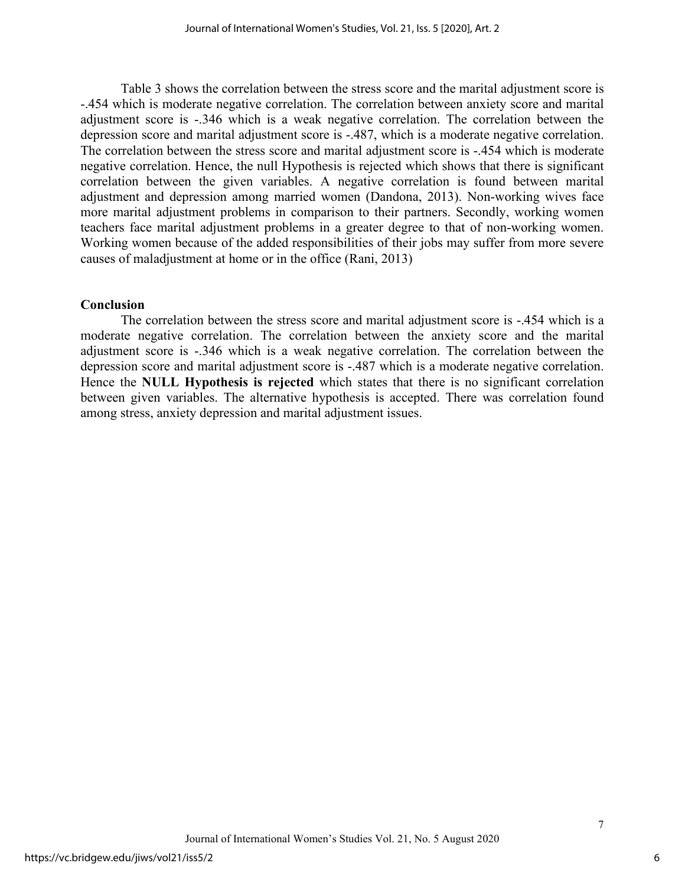Table 3 shows the correlation between the stress score and the marital adjustment score is -.454 which is moderate negative correlation. The correlation between anxiety score and marital adjustment score is -.346 which is a weak negative correlation. The correlation between the depression score and marital adjustment score is -.487, which is a moderate negative correlation. The correlation between the stress score and marital adjustment score is -.454 which is moderate negative correlation. Hence, the null Hypothesis is rejected which shows that there is significant correlation between the given variables. A negative correlation is found between marital adjustment and depression among married women (Dandona, 2013). Non-working wives face more marital adjustment problems in comparison to their partners. Secondly, working women teachers face marital adjustment problems in a greater degree to that of non-working women. Working women because of the added responsibilities of their jobs may suffer from more severe causes of maladjustment at home or in the office (Rani, 2013)

#### **Conclusion**

The correlation between the stress score and marital adjustment score is -.454 which is a moderate negative correlation. The correlation between the anxiety score and the marital adjustment score is -.346 which is a weak negative correlation. The correlation between the depression score and marital adjustment score is -.487 which is a moderate negative correlation. Hence the **NULL Hypothesis is rejected** which states that there is no significant correlation between given variables. The alternative hypothesis is accepted. There was correlation found among stress, anxiety depression and marital adjustment issues.